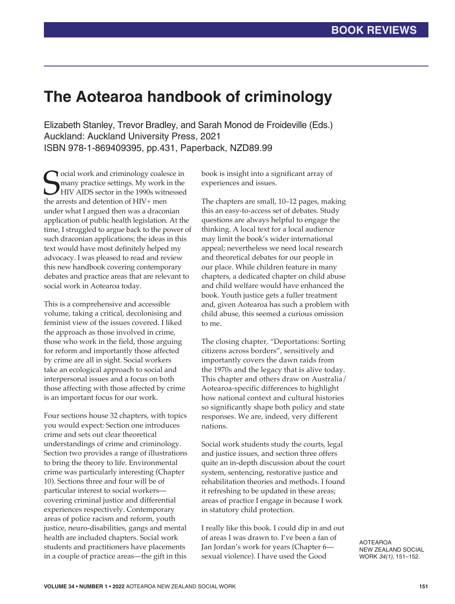## **The Aotearoa handbook of criminology**

Elizabeth Stanley, Trevor Bradley, and Sarah Monod de Froideville (Eds.) Auckland: Auckland University Press, 2021 ISBN 978-1-869409395, pp.431, Paperback, NZD89.99

**S** ocial work and criminology coales<br>
many practice settings. My work if<br>
the arrests and detention of HIV+ men **T** ocial work and criminology coalesce in many practice settings. My work in the HIV AIDS sector in the 1990s witnessed under what I argued then was a draconian application of public health legislation. At the time, I struggled to argue back to the power of such draconian applications; the ideas in this text would have most definitely helped my advocacy. I was pleased to read and review this new handbook covering contemporary debates and practice areas that are relevant to social work in Aotearoa today.

This is a comprehensive and accessible volume, taking a critical, decolonising and feminist view of the issues covered. I liked the approach as those involved in crime, those who work in the field, those arguing for reform and importantly those affected by crime are all in sight. Social workers take an ecological approach to social and interpersonal issues and a focus on both those affecting with those affected by crime is an important focus for our work.

Four sections house 32 chapters, with topics you would expect: Section one introduces crime and sets out clear theoretical understandings of crime and criminology. Section two provides a range of illustrations to bring the theory to life. Environmental crime was particularly interesting (Chapter 10). Sections three and four will be of particular interest to social workers covering criminal justice and differential experiences respectively. Contemporary areas of police racism and reform, youth justice, neuro-disabilities, gangs and mental health are included chapters. Social work students and practitioners have placements in a couple of practice areas—the gift in this

book is insight into a significant array of experiences and issues.

The chapters are small, 10–12 pages, making this an easy-to-access set of debates. Study questions are always helpful to engage the thinking. A local text for a local audience may limit the book's wider international appeal; nevertheless we need local research and theoretical debates for our people in our place. While children feature in many chapters, a dedicated chapter on child abuse and child welfare would have enhanced the book. Youth justice gets a fuller treatment and, given Aotearoa has such a problem with child abuse, this seemed a curious omission to me.

The closing chapter, "Deportations: Sorting citizens across borders", sensitively and importantly covers the dawn raids from the 1970s and the legacy that is alive today. This chapter and others draw on Australia/ Aotearoa-specific differences to highlight how national context and cultural histories so significantly shape both policy and state responses. We are, indeed, very different nations.

Social work students study the courts, legal and justice issues, and section three offers quite an in-depth discussion about the court system, sentencing, restorative justice and rehabilitation theories and methods. I found it refreshing to be updated in these areas; areas of practice I engage in because I work in statutory child protection.

I really like this book. I could dip in and out of areas I was drawn to. I've been a fan of Jan Jordan's work for years (Chapter 6 sexual violence). I have used the Good

AOTEAROA NEW ZEALAND SOCIAL WORK *34(1)*, 151–152.